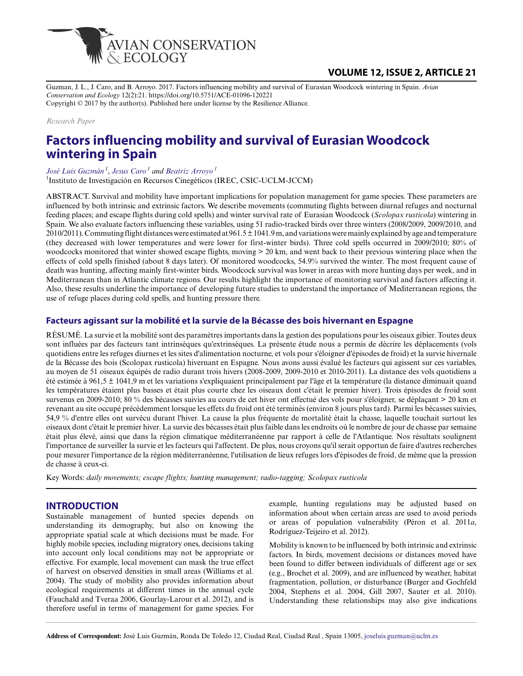

## **VOLUME 12, ISSUE 2, ARTICLE 21**

Guzman, J. L., J. Caro, and B. Arroyo. 2017. Factors influencing mobility and survival of Eurasian Woodcock wintering in Spain. *Avian Conservation and Ecology* 12(2):21. https://doi.org/10.5751/ACE-01096-120221 Copyright © 2017 by the author(s). Published here under license by the Resilience Alliance.

*Research Paper*

# **Factors influencing mobility and survival of Eurasian Woodcock wintering in Spain**

*[José Luis Guzmán](mailto:joseluis.guzman@uclm.es)<sup>1</sup>* , *[Jesus Caro](mailto:jesus.caro@uclm.es)<sup>1</sup> and [Beatriz Arroyo](mailto:beatriz.arroyo@uclm.es)<sup>1</sup>*

1 Instituto de Investigación en Recursos Cinegéticos (IREC, CSIC-UCLM-JCCM)

ABSTRACT. Survival and mobility have important implications for population management for game species. These parameters are influenced by both intrinsic and extrinsic factors. We describe movements (commuting flights between diurnal refuges and nocturnal feeding places; and escape flights during cold spells) and winter survival rate of Eurasian Woodcock (*Scolopax rusticola*) wintering in Spain. We also evaluate factors influencing these variables, using 51 radio-tracked birds over three winters (2008/2009, 2009/2010, and  $2010/2011$ ). Commuting flight distances were estimated at  $961.5 \pm 1041.9$  m, and variations were mainly explained by age and temperature (they decreased with lower temperatures and were lower for first-winter birds). Three cold spells occurred in 2009/2010; 80% of woodcocks monitored that winter showed escape flights, moving > 20 km, and went back to their previous wintering place when the effects of cold spells finished (about 8 days later). Of monitored woodcocks, 54.9% survived the winter. The most frequent cause of death was hunting, affecting mainly first-winter birds. Woodcock survival was lower in areas with more hunting days per week, and in Mediterranean than in Atlantic climate regions. Our results highlight the importance of monitoring survival and factors affecting it. Also, these results underline the importance of developing future studies to understand the importance of Mediterranean regions, the use of refuge places during cold spells, and hunting pressure there.

#### **Facteurs agissant sur la mobilité et la survie de la Bécasse des bois hivernant en Espagne**

RÉSUMÉ. La survie et la mobilité sont des paramètres importants dans la gestion des populations pour les oiseaux gibier. Toutes deux sont influées par des facteurs tant intrinsèques qu'extrinsèques. La présente étude nous a permis de décrire les déplacements (vols quotidiens entre les refuges diurnes et les sites d'alimentation nocturne, et vols pour s'éloigner d'épisodes de froid) et la survie hivernale de la Bécasse des bois (Scolopax rusticola) hivernant en Espagne. Nous avons aussi évalué les facteurs qui agissent sur ces variables, au moyen de 51 oiseaux équipés de radio durant trois hivers (2008-2009, 2009-2010 et 2010-2011). La distance des vols quotidiens a été estimée à 961,5 ± 1041,9 m et les variations s'expliquaient principalement par l'âge et la température (la distance diminuait quand les températures étaient plus basses et était plus courte chez les oiseaux dont c'était le premier hiver). Trois épisodes de froid sont survenus en 2009-2010; 80 % des bécasses suivies au cours de cet hiver ont effectué des vols pour s'éloigner, se déplaçant > 20 km et revenant au site occupé précédemment lorsque les effets du froid ont été terminés (environ 8 jours plus tard). Parmi les bécasses suivies, 54,9 % d'entre elles ont survécu durant l'hiver. La cause la plus fréquente de mortalité était la chasse, laquelle touchait surtout les oiseaux dont c'était le premier hiver. La survie des bécasses était plus faible dans les endroits où le nombre de jour de chasse par semaine était plus élevé, ainsi que dans la région climatique méditerranéenne par rapport à celle de l'Atlantique. Nos résultats soulignent l'importance de surveiller la survie et les facteurs qui l'affectent. De plus, nous croyons qu'il serait opportun de faire d'autres recherches pour mesurer l'importance de la région méditerranéenne, l'utilisation de lieux refuges lors d'épisodes de froid, de même que la pression de chasse à ceux-ci.

Key Words: *daily movements; escape flights; hunting management; radio-tagging; Scolopax rusticola*

## **INTRODUCTION**

Sustainable management of hunted species depends on understanding its demography, but also on knowing the appropriate spatial scale at which decisions must be made. For highly mobile species, including migratory ones, decisions taking into account only local conditions may not be appropriate or effective. For example, local movement can mask the true effect of harvest on observed densities in small areas (Williams et al. 2004). The study of mobility also provides information about ecological requirements at different times in the annual cycle (Fauchald and Tveraa 2006, Gourlay-Larour et al. 2012), and is therefore useful in terms of management for game species. For

example, hunting regulations may be adjusted based on information about when certain areas are used to avoid periods or areas of population vulnerability (Péron et al. 2011*a*, Rodríguez-Teijeiro et al. 2012).

Mobility is known to be influenced by both intrinsic and extrinsic factors. In birds, movement decisions or distances moved have been found to differ between individuals of different age or sex (e.g., Brochet et al. 2009), and are influenced by weather, habitat fragmentation, pollution, or disturbance (Burger and Gochfeld 2004, Stephens et al. 2004, Gill 2007, Sauter et al. 2010). Understanding these relationships may also give indications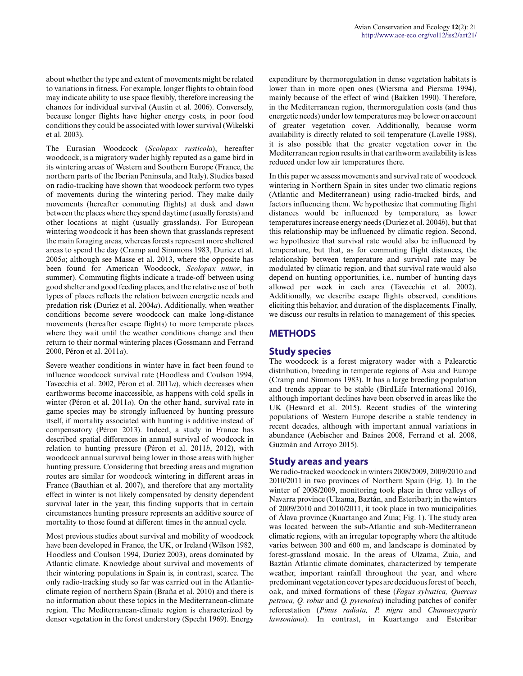about whether the type and extent of movements might be related to variations in fitness. For example, longer flights to obtain food may indicate ability to use space flexibly, therefore increasing the chances for individual survival (Austin et al. 2006). Conversely, because longer flights have higher energy costs, in poor food conditions they could be associated with lower survival (Wikelski et al. 2003).

The Eurasian Woodcock (*Scolopax rusticola*), hereafter woodcock, is a migratory wader highly reputed as a game bird in its wintering areas of Western and Southern Europe (France, the northern parts of the Iberian Peninsula, and Italy). Studies based on radio-tracking have shown that woodcock perform two types of movements during the wintering period. They make daily movements (hereafter commuting flights) at dusk and dawn between the places where they spend daytime (usually forests) and other locations at night (usually grasslands). For European wintering woodcock it has been shown that grasslands represent the main foraging areas, whereas forests represent more sheltered areas to spend the day (Cramp and Simmons 1983, Duriez et al. 2005*a*; although see Masse et al. 2013, where the opposite has been found for American Woodcock, *Scolopax minor*, in summer). Commuting flights indicate a trade-off between using good shelter and good feeding places, and the relative use of both types of places reflects the relation between energetic needs and predation risk (Duriez et al. 2004*a*). Additionally, when weather conditions become severe woodcock can make long-distance movements (hereafter escape flights) to more temperate places where they wait until the weather conditions change and then return to their normal wintering places (Gossmann and Ferrand 2000, Péron et al. 2011*a*).

Severe weather conditions in winter have in fact been found to influence woodcock survival rate (Hoodless and Coulson 1994, Tavecchia et al. 2002, Péron et al. 2011*a*), which decreases when earthworms become inaccessible, as happens with cold spells in winter (Péron et al. 2011*a*). On the other hand, survival rate in game species may be strongly influenced by hunting pressure itself, if mortality associated with hunting is additive instead of compensatory (Péron 2013). Indeed, a study in France has described spatial differences in annual survival of woodcock in relation to hunting pressure (Péron et al. 2011*b*, 2012), with woodcock annual survival being lower in those areas with higher hunting pressure. Considering that breeding areas and migration routes are similar for woodcock wintering in different areas in France (Bauthian et al. 2007), and therefore that any mortality effect in winter is not likely compensated by density dependent survival later in the year, this finding supports that in certain circumstances hunting pressure represents an additive source of mortality to those found at different times in the annual cycle.

Most previous studies about survival and mobility of woodcock have been developed in France, the UK, or Ireland (Wilson 1982, Hoodless and Coulson 1994, Duriez 2003), areas dominated by Atlantic climate. Knowledge about survival and movements of their wintering populations in Spain is, in contrast, scarce. The only radio-tracking study so far was carried out in the Atlanticclimate region of northern Spain (Braña et al. 2010) and there is no information about these topics in the Mediterranean-climate region. The Mediterranean-climate region is characterized by denser vegetation in the forest understory (Specht 1969). Energy expenditure by thermoregulation in dense vegetation habitats is lower than in more open ones (Wiersma and Piersma 1994), mainly because of the effect of wind (Bakken 1990). Therefore, in the Mediterranean region, thermoregulation costs (and thus energetic needs) under low temperatures may be lower on account of greater vegetation cover. Additionally, because worm availability is directly related to soil temperature (Lavelle 1988), it is also possible that the greater vegetation cover in the Mediterranean region results in that earthworm availability is less reduced under low air temperatures there.

In this paper we assess movements and survival rate of woodcock wintering in Northern Spain in sites under two climatic regions (Atlantic and Mediterranean) using radio-tracked birds, and factors influencing them. We hypothesize that commuting flight distances would be influenced by temperature, as lower temperatures increase energy needs (Duriez et al. 2004*b*), but that this relationship may be influenced by climatic region. Second, we hypothesize that survival rate would also be influenced by temperature, but that, as for commuting flight distances, the relationship between temperature and survival rate may be modulated by climatic region, and that survival rate would also depend on hunting opportunities, i.e., number of hunting days allowed per week in each area (Tavecchia et al. 2002). Additionally, we describe escape flights observed, conditions eliciting this behavior, and duration of the displacements. Finally, we discuss our results in relation to management of this species.

## **METHODS**

#### **Study species**

The woodcock is a forest migratory wader with a Palearctic distribution, breeding in temperate regions of Asia and Europe (Cramp and Simmons 1983). It has a large breeding population and trends appear to be stable (BirdLife International 2016), although important declines have been observed in areas like the UK (Heward et al. 2015). Recent studies of the wintering populations of Western Europe describe a stable tendency in recent decades, although with important annual variations in abundance (Aebischer and Baines 2008, Ferrand et al. 2008, Guzmán and Arroyo 2015).

#### **Study areas and years**

We radio-tracked woodcock in winters 2008/2009, 2009/2010 and 2010/2011 in two provinces of Northern Spain (Fig. 1). In the winter of 2008/2009, monitoring took place in three valleys of Navarra province (Ulzama, Baztán, and Esteribar); in the winters of 2009/2010 and 2010/2011, it took place in two municipalities of Álava province (Kuartango and Zuia; Fig. 1). The study area was located between the sub-Atlantic and sub-Mediterranean climatic regions, with an irregular topography where the altitude varies between 300 and 600 m, and landscape is dominated by forest-grassland mosaic. In the areas of Ulzama, Zuia, and Baztán Atlantic climate dominates, characterized by temperate weather, important rainfall throughout the year, and where predominant vegetation cover types are deciduous forest of beech, oak, and mixed formations of these (*Fagus sylvatica, Quercus petraea, Q. robur* and *Q. pyrenaica*) including patches of conifer reforestation (*Pinus radiata, P. nigra* and *Chamaecyparis lawsoniana*). In contrast, in Kuartango and Esteribar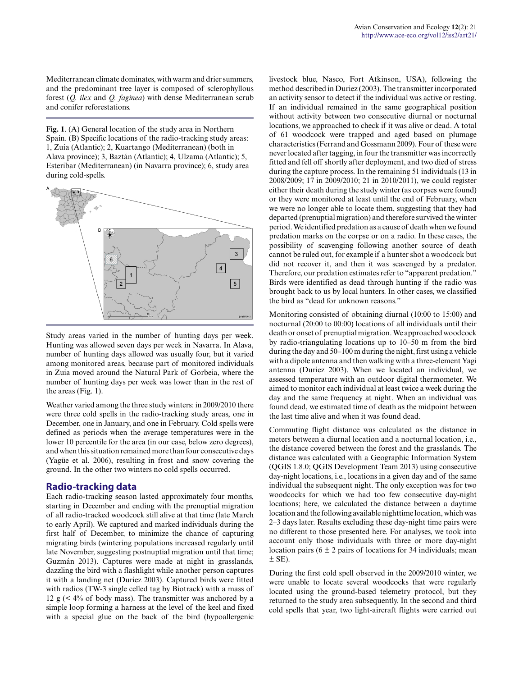Mediterranean climate dominates, with warm and drier summers, and the predominant tree layer is composed of sclerophyllous forest (*Q. ilex* and *Q. faginea*) with dense Mediterranean scrub and conifer reforestations.

**Fig. 1**. (A) General location of the study area in Northern Spain. (B) Specific locations of the radio-tracking study areas: 1, Zuia (Atlantic); 2, Kuartango (Mediterranean) (both in Alava province); 3, Baztán (Atlantic); 4, Ulzama (Atlantic); 5, Esteribar (Mediterranean) (in Navarra province); 6, study area during cold-spells.



Study areas varied in the number of hunting days per week. Hunting was allowed seven days per week in Navarra. In Alava, number of hunting days allowed was usually four, but it varied among monitored areas, because part of monitored individuals in Zuia moved around the Natural Park of Gorbeia, where the number of hunting days per week was lower than in the rest of the areas (Fig. 1).

Weather varied among the three study winters: in 2009/2010 there were three cold spells in the radio-tracking study areas, one in December, one in January, and one in February. Cold spells were defined as periods when the average temperatures were in the lower 10 percentile for the area (in our case, below zero degrees), and when this situation remained more than four consecutive days (Yagüe et al. 2006), resulting in frost and snow covering the ground. In the other two winters no cold spells occurred.

#### **Radio-tracking data**

Each radio-tracking season lasted approximately four months, starting in December and ending with the prenuptial migration of all radio-tracked woodcock still alive at that time (late March to early April). We captured and marked individuals during the first half of December, to minimize the chance of capturing migrating birds (wintering populations increased regularly until late November, suggesting postnuptial migration until that time; Guzmán 2013). Captures were made at night in grasslands, dazzling the bird with a flashlight while another person captures it with a landing net (Duriez 2003). Captured birds were fitted with radios (TW-3 single celled tag by Biotrack) with a mass of 12 g  $\leq$  4% of body mass). The transmitter was anchored by a simple loop forming a harness at the level of the keel and fixed with a special glue on the back of the bird (hypoallergenic livestock blue, Nasco, Fort Atkinson, USA), following the method described in Duriez (2003). The transmitter incorporated an activity sensor to detect if the individual was active or resting. If an individual remained in the same geographical position without activity between two consecutive diurnal or nocturnal locations, we approached to check if it was alive or dead. A total of 61 woodcock were trapped and aged based on plumage characteristics (Ferrand and Gossmann 2009). Four of these were never located after tagging, in four the transmitter was incorrectly fitted and fell off shortly after deployment, and two died of stress during the capture process. In the remaining 51 individuals (13 in 2008/2009; 17 in 2009/2010; 21 in 2010/2011), we could register either their death during the study winter (as corpses were found) or they were monitored at least until the end of February, when we were no longer able to locate them, suggesting that they had departed (prenuptial migration) and therefore survived the winter period. We identified predation as a cause of death when we found predation marks on the corpse or on a radio. In these cases, the possibility of scavenging following another source of death cannot be ruled out, for example if a hunter shot a woodcock but did not recover it, and then it was scavenged by a predator. Therefore, our predation estimates refer to "apparent predation." Birds were identified as dead through hunting if the radio was brought back to us by local hunters. In other cases, we classified the bird as "dead for unknown reasons."

Monitoring consisted of obtaining diurnal (10:00 to 15:00) and nocturnal (20:00 to 00:00) locations of all individuals until their death or onset of prenuptial migration. We approached woodcock by radio-triangulating locations up to 10–50 m from the bird during the day and 50–100 m during the night, first using a vehicle with a dipole antenna and then walking with a three-element Yagi antenna (Duriez 2003). When we located an individual, we assessed temperature with an outdoor digital thermometer. We aimed to monitor each individual at least twice a week during the day and the same frequency at night. When an individual was found dead, we estimated time of death as the midpoint between the last time alive and when it was found dead.

Commuting flight distance was calculated as the distance in meters between a diurnal location and a nocturnal location, i.e., the distance covered between the forest and the grasslands. The distance was calculated with a Geographic Information System (QGIS 1.8.0; QGIS Development Team 2013) using consecutive day-night locations, i.e., locations in a given day and of the same individual the subsequent night. The only exception was for two woodcocks for which we had too few consecutive day-night locations; here, we calculated the distance between a daytime location and the following available nighttime location, which was 2–3 days later. Results excluding these day-night time pairs were no different to those presented here. For analyses, we took into account only those individuals with three or more day-night location pairs ( $6 \pm 2$  pairs of locations for 34 individuals; mean  $±$  SE).

During the first cold spell observed in the 2009/2010 winter, we were unable to locate several woodcocks that were regularly located using the ground-based telemetry protocol, but they returned to the study area subsequently. In the second and third cold spells that year, two light-aircraft flights were carried out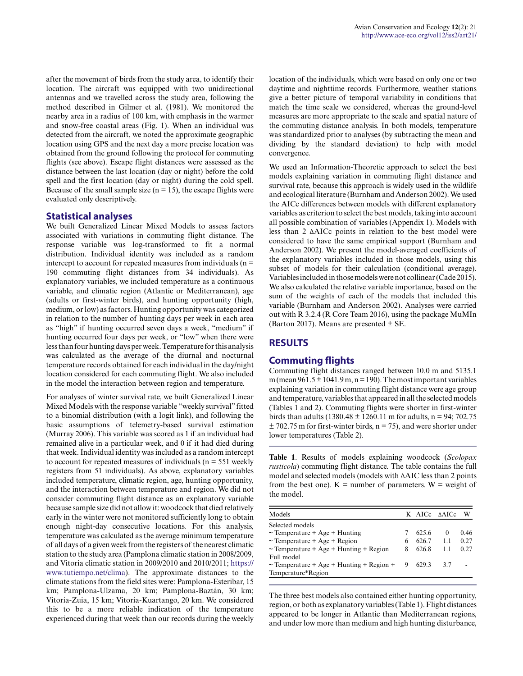after the movement of birds from the study area, to identify their location. The aircraft was equipped with two unidirectional antennas and we travelled across the study area, following the method described in Gilmer et al. (1981). We monitored the nearby area in a radius of 100 km, with emphasis in the warmer and snow-free coastal areas (Fig. 1). When an individual was detected from the aircraft, we noted the approximate geographic location using GPS and the next day a more precise location was obtained from the ground following the protocol for commuting flights (see above). Escape flight distances were assessed as the distance between the last location (day or night) before the cold spell and the first location (day or night) during the cold spell. Because of the small sample size  $(n = 15)$ , the escape flights were evaluated only descriptively.

#### **Statistical analyses**

We built Generalized Linear Mixed Models to assess factors associated with variations in commuting flight distance. The response variable was log-transformed to fit a normal distribution. Individual identity was included as a random intercept to account for repeated measures from individuals  $(n =$ 190 commuting flight distances from 34 individuals). As explanatory variables, we included temperature as a continuous variable, and climatic region (Atlantic or Mediterranean), age (adults or first-winter birds), and hunting opportunity (high, medium, or low) as factors. Hunting opportunity was categorized in relation to the number of hunting days per week in each area as "high" if hunting occurred seven days a week, "medium" if hunting occurred four days per week, or "low" when there were less than four hunting days per week. Temperature for this analysis was calculated as the average of the diurnal and nocturnal temperature records obtained for each individual in the day/night location considered for each commuting flight. We also included in the model the interaction between region and temperature.

For analyses of winter survival rate, we built Generalized Linear Mixed Models with the response variable "weekly survival" fitted to a binomial distribution (with a logit link), and following the basic assumptions of telemetry-based survival estimation (Murray 2006). This variable was scored as 1 if an individual had remained alive in a particular week, and 0 if it had died during that week. Individual identity was included as a random intercept to account for repeated measures of individuals ( $n = 551$  weekly registers from 51 individuals). As above, explanatory variables included temperature, climatic region, age, hunting opportunity, and the interaction between temperature and region. We did not consider commuting flight distance as an explanatory variable because sample size did not allow it: woodcock that died relatively early in the winter were not monitored sufficiently long to obtain enough night-day consecutive locations. For this analysis, temperature was calculated as the average minimum temperature of all days of a given week from the registers of the nearest climatic station to the study area (Pamplona climatic station in 2008/2009, and Vitoria climatic station in 2009/2010 and 2010/2011; [https://](https://www.tutiempo.net/clima) [www.tutiempo.net/clima\)](https://www.tutiempo.net/clima). The approximate distances to the climate stations from the field sites were: Pamplona-Esteribar, 15 km; Pamplona-Ulzama, 20 km; Pamplona-Baztán, 30 km; Vitoria-Zuia, 15 km; Vitoria-Kuartango, 20 km. We considered this to be a more reliable indication of the temperature experienced during that week than our records during the weekly location of the individuals, which were based on only one or two daytime and nighttime records. Furthermore, weather stations give a better picture of temporal variability in conditions that match the time scale we considered, whereas the ground-level measures are more appropriate to the scale and spatial nature of the commuting distance analysis. In both models, temperature was standardized prior to analyses (by subtracting the mean and dividing by the standard deviation) to help with model convergence.

We used an Information-Theoretic approach to select the best models explaining variation in commuting flight distance and survival rate, because this approach is widely used in the wildlife and ecological literature (Burnham and Anderson 2002). We used the AICc differences between models with different explanatory variables as criterion to select the best models, taking into account all possible combination of variables (Appendix 1). Models with less than 2 ΔAICc points in relation to the best model were considered to have the same empirical support (Burnham and Anderson 2002). We present the model-averaged coefficients of the explanatory variables included in those models, using this subset of models for their calculation (conditional average). Variables included in those models were not collinear (Cade 2015). We also calculated the relative variable importance, based on the sum of the weights of each of the models that included this variable (Burnham and Anderson 2002). Analyses were carried out with R 3.2.4 (R Core Team 2016), using the package MuMIn (Barton 2017). Means are presented  $\pm$  SE.

#### **RESULTS**

#### **Commuting flights**

Commuting flight distances ranged between 10.0 m and 5135.1 m (mean  $961.5 \pm 1041.9$  m, n = 190). The most important variables explaining variation in commuting flight distance were age group and temperature, variables that appeared in all the selected models (Tables 1 and 2). Commuting flights were shorter in first-winter birds than adults (1380.48  $\pm$  1260.11 m for adults, n = 94; 702.75  $\pm$  702.75 m for first-winter birds, n = 75), and were shorter under lower temperatures (Table 2).

**Table 1**. Results of models explaining woodcock (*Scolopax rusticola*) commuting flight distance. The table contains the full model and selected models (models with ΔAIC less than 2 points from the best one).  $K =$  number of parameters.  $W =$  weight of the model.

| Models                                        |   |         | K AICc AAICc | W    |
|-----------------------------------------------|---|---------|--------------|------|
| Selected models                               |   |         |              |      |
| $\sim$ Temperature + Age + Hunting            |   | 625.6   | $\theta$     | 0.46 |
| $\sim$ Temperature + Age + Region             | 6 | 626.7   | 11           | 0.27 |
| $\sim$ Temperature + Age + Hunting + Region   | 8 | 626.8   | 1.1          | 0.27 |
| Full model                                    |   |         |              |      |
| $\sim$ Temperature + Age + Hunting + Region + |   | 9 629.3 | 3.7          |      |
| Temperature*Region                            |   |         |              |      |
|                                               |   |         |              |      |

The three best models also contained either hunting opportunity, region, or both as explanatory variables (Table 1). Flight distances appeared to be longer in Atlantic than Mediterranean regions, and under low more than medium and high hunting disturbance,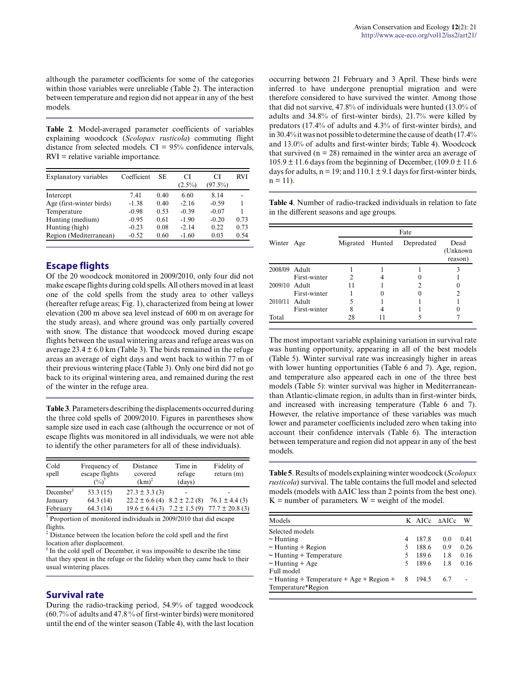although the parameter coefficients for some of the categories within those variables were unreliable (Table 2). The interaction between temperature and region did not appear in any of the best models.

**Table 2**. Model-averaged parameter coefficients of variables explaining woodcock (*Scolopax rusticola*) commuting flight distance from selected models. CI = 95% confidence intervals, RVI = relative variable importance.

| Explanatory variables    | Coefficient | SE.  | CI<br>$(2.5\%)$ | СI<br>$(97.5\%)$ | <b>RVI</b> |
|--------------------------|-------------|------|-----------------|------------------|------------|
| Intercept                | 7.41        | 0.40 | 6.60            | 8 1 4            |            |
| Age (first-winter birds) | $-1.38$     | 0.40 | $-2.16$         | $-0.59$          |            |
| Temperature              | $-0.98$     | 0.53 | $-0.39$         | $-0.07$          |            |
| Hunting (medium)         | $-0.95$     | 0.61 | $-1.90$         | $-0.20$          | 0.73       |
| Hunting (high)           | $-0.23$     | 0.08 | $-2.14$         | 0.22             | 0.73       |
| Region (Mediterranean)   | $-0.52$     | 0.60 | $-1.60$         | 0.03             | 0.54       |

## **Escape flights**

Of the 20 woodcock monitored in 2009/2010, only four did not make escape flights during cold spells. All others moved in at least one of the cold spells from the study area to other valleys (hereafter refuge areas; Fig. 1), characterized from being at lower elevation (200 m above sea level instead of 600 m on average for the study areas), and where ground was only partially covered with snow. The distance that woodcock moved during escape flights between the usual wintering areas and refuge areas was on average  $23.4 \pm 6.0$  km (Table 3). The birds remained in the refuge areas an average of eight days and went back to within 77 m of their previous wintering place (Table 3). Only one bird did not go back to its original wintering area, and remained during the rest of the winter in the refuge area.

**Table 3**. Parameters describing the displacements occurred during the three cold spells of 2009/2010. Figures in parentheses show sample size used in each case (although the occurrence or not of escape flights was monitored in all individuals, we were not able to identify the other parameters for all of these individuals).

| Cold<br>spell         | Frequency of<br>escape flights<br>(%) | Distance<br>covered<br>$(km)^{T}$ | Time in<br>refuge<br>(days) | Fidelity of<br>return (m) |
|-----------------------|---------------------------------------|-----------------------------------|-----------------------------|---------------------------|
| December <sup>§</sup> | 53.3(15)                              | $27.3 \pm 3.3$ (3)                |                             |                           |
| January               | 64.3(14)                              | $22.2 \pm 6.6$ (4)                | $8.2 \pm 2.2$ (8)           | $76.1 \pm 4.4(3)$         |
| February              | 64.3(14)                              | $19.6 \pm 6.4(3)$                 | $7.2 \pm 1.5(9)$            | $77.7 \pm 20.8$ (3)       |

† Proportion of monitored individuals in 2009/2010 that did escape flights.

‡ Distance between the location before the cold spell and the first location after displacement.

§ In the cold spell of December, it was impossible to describe the time that they spent in the refuge or the fidelity when they came back to their usual wintering places.

## **Survival rate**

During the radio-tracking period, 54.9% of tagged woodcock (60.7% of adults and 47.8 % of first-winter birds) were monitored until the end of the winter season (Table 4), with the last location occurring between 21 February and 3 April. These birds were inferred to have undergone prenuptial migration and were therefore considered to have survived the winter. Among those that did not survive, 47.8% of individuals were hunted (13.0% of adults and 34.8% of first-winter birds), 21.7% were killed by predators (17.4% of adults and 4.3% of first-winter birds), and in 30.4% it was not possible to determine the cause of death (17.4% and 13.0% of adults and first-winter birds; Table 4). Woodcock that survived  $(n = 28)$  remained in the winter area an average of  $105.9 \pm 11.6$  days from the beginning of December,  $(109.0 \pm 11.6$ days for adults,  $n = 19$ ; and  $110.1 \pm 9.1$  days for first-winter birds,  $n = 11$ ).

**Table 4**. Number of radio-tracked individuals in relation to fate in the different seasons and age groups.

|               |              | Fate            |  |            |                              |  |  |  |
|---------------|--------------|-----------------|--|------------|------------------------------|--|--|--|
| Winter Age    |              | Migrated Hunted |  | Depredated | Dead<br>(Unknown)<br>reason) |  |  |  |
| 2008/09 Adult |              |                 |  |            |                              |  |  |  |
|               | First-winter |                 |  |            |                              |  |  |  |
| 2009/10 Adult |              |                 |  |            |                              |  |  |  |
|               | First-winter |                 |  |            |                              |  |  |  |
| 2010/11 Adult |              |                 |  |            |                              |  |  |  |
|               | First-winter | 8               |  |            |                              |  |  |  |
| Total         |              | 28              |  |            |                              |  |  |  |

The most important variable explaining variation in survival rate was hunting opportunity, appearing in all of the best models (Table 5). Winter survival rate was increasingly higher in areas with lower hunting opportunities (Table 6 and 7). Age, region, and temperature also appeared each in one of the three best models (Table 5): winter survival was higher in Mediterraneanthan Atlantic-climate region, in adults than in first-winter birds, and increased with increasing temperature (Table 6 and 7). However, the relative importance of these variables was much lower and parameter coefficients included zero when taking into account their confidence intervals (Table 6). The interaction between temperature and region did not appear in any of the best models.

**Table 5**. Results of models explaining winter woodcock (*Scolopax rusticola*) survival. The table contains the full model and selected models (models with ΔAIC less than 2 points from the best one).  $K =$  number of parameters.  $W =$  weight of the model.

| Models                                                |    |       | K AICc AAICc | W    |
|-------------------------------------------------------|----|-------|--------------|------|
| Selected models                                       |    |       |              |      |
| $\sim$ Hunting                                        | 4  | 187.8 | 0.0          | 0.41 |
| $\sim$ Hunting + Region                               | 5  | 188.6 | 0.9          | 0.26 |
| $\sim$ Hunting + Temperature                          | 5  | 189.6 | 1.8          | 0.16 |
| $\sim$ Hunting + Age                                  | 5. | 189.6 | 1.8          | 0.16 |
| Full model                                            |    |       |              |      |
| $\sim$ Hunting + Temperature + Age + Region + 8 194.5 |    |       | 6.7          |      |
| Temperature*Region                                    |    |       |              |      |
|                                                       |    |       |              |      |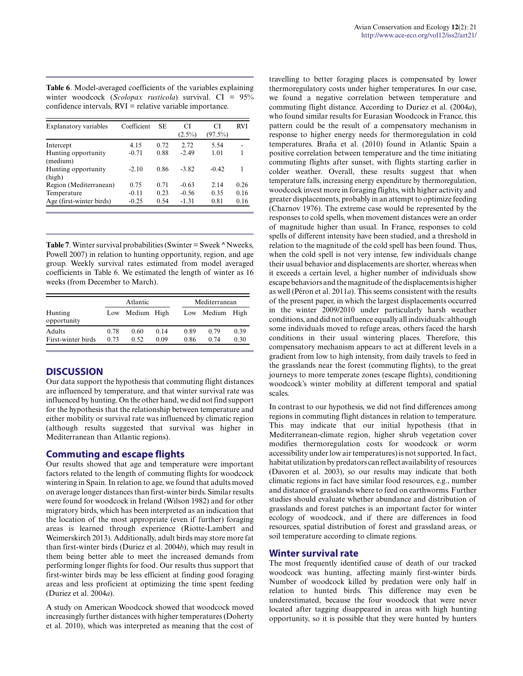**Table 6**. Model-averaged coefficients of the variables explaining winter woodcock (*Scolopax rusticola*) survival. CI = 95% confidence intervals, RVI = relative variable importance.

| Explanatory variables           | Coefficient | <b>SE</b> | CI<br>$(2.5\%)$ | СI<br>$(97.5\%)$ | <b>RVI</b> |
|---------------------------------|-------------|-----------|-----------------|------------------|------------|
| Intercept                       | 4.15        | 0.72      | 2.72            | 5.54             |            |
| Hunting opportunity<br>(medium) | $-0.71$     | 0.88      | $-2.49$         | 1.01             | 1          |
| Hunting opportunity<br>(high)   | $-2.10$     | 0.86      | $-3.82$         | $-0.42$          | 1          |
| Region (Mediterranean)          | 0.75        | 0.71      | $-0.63$         | 2.14             | 0.26       |
| Temperature                     | $-0.11$     | 0.23      | $-0.56$         | 0.35             | 0.16       |
| Age (first-winter birds)        | $-0.25$     | 0.54      | $-1.31$         | 0.81             | 0.16       |

**Table 7**. Winter survival probabilities (Swinter = Sweek ^ Nweeks, Powell 2007) in relation to hunting opportunity, region, and age group. Weekly survival rates estimated from model averaged coefficients in Table 6. We estimated the length of winter as 16 weeks (from December to March).

|                              | Atlantic     |              |              | Mediterranean |              |              |  |
|------------------------------|--------------|--------------|--------------|---------------|--------------|--------------|--|
| Hunting<br>opportunity       | Low          | Medium High  |              |               | Low Medium   | High         |  |
| Adults<br>First-winter birds | 0.78<br>0.73 | 0.60<br>0.52 | 0.14<br>0.09 | 0.89<br>0.86  | 0.79<br>0.74 | 0.39<br>0.30 |  |

#### **DISCUSSION**

Our data support the hypothesis that commuting flight distances are influenced by temperature, and that winter survival rate was influenced by hunting. On the other hand, we did not find support for the hypothesis that the relationship between temperature and either mobility or survival rate was influenced by climatic region (although results suggested that survival was higher in Mediterranean than Atlantic regions).

#### **Commuting and escape flights**

Our results showed that age and temperature were important factors related to the length of commuting flights for woodcock wintering in Spain. In relation to age, we found that adults moved on average longer distances than first-winter birds. Similar results were found for woodcock in Ireland (Wilson 1982) and for other migratory birds, which has been interpreted as an indication that the location of the most appropriate (even if further) foraging areas is learned through experience (Riotte-Lambert and Weimerskirch 2013). Additionally, adult birds may store more fat than first-winter birds (Duriez et al. 2004*b*), which may result in them being better able to meet the increased demands from performing longer flights for food. Our results thus support that first-winter birds may be less efficient at finding good foraging areas and less proficient at optimizing the time spent feeding (Duriez et al. 2004*a*).

A study on American Woodcock showed that woodcock moved increasingly further distances with higher temperatures (Doherty et al. 2010), which was interpreted as meaning that the cost of travelling to better foraging places is compensated by lower thermoregulatory costs under higher temperatures. In our case, we found a negative correlation between temperature and commuting flight distance. According to Duriez et al. (2004*a*), who found similar results for Eurasian Woodcock in France, this pattern could be the result of a compensatory mechanism in response to higher energy needs for thermoregulation in cold temperatures. Braña et al. (2010) found in Atlantic Spain a positive correlation between temperature and the time initiating commuting flights after sunset, with flights starting earlier in colder weather. Overall, these results suggest that when temperature falls, increasing energy expenditure by thermoregulation, woodcock invest more in foraging flights, with higher activity and greater displacements, probably in an attempt to optimize feeding (Charnov 1976). The extreme case would be represented by the responses to cold spells, when movement distances were an order of magnitude higher than usual. In France, responses to cold spells of different intensity have been studied, and a threshold in relation to the magnitude of the cold spell has been found. Thus, when the cold spell is not very intense, few individuals change their usual behavior and displacements are shorter, whereas when it exceeds a certain level, a higher number of individuals show escape behaviors and the magnitude of the displacements is higher as well (Péron et al. 2011*a*). This seems consistent with the results of the present paper, in which the largest displacements occurred in the winter 2009/2010 under particularly harsh weather conditions, and did not influence equally all individuals: although some individuals moved to refuge areas, others faced the harsh conditions in their usual wintering places. Therefore, this compensatory mechanism appears to act at different levels in a gradient from low to high intensity, from daily travels to feed in the grasslands near the forest (commuting flights), to the great journeys to more temperate zones (escape flights), conditioning woodcock's winter mobility at different temporal and spatial scales.

In contrast to our hypothesis, we did not find differences among regions in commuting flight distances in relation to temperature. This may indicate that our initial hypothesis (that in Mediterranean-climate region, higher shrub vegetation cover modifies thermoregulation costs for woodcock or worm accessibility under low air temperatures) is not supported. In fact, habitat utilization by predators can reflect availability of resources (Davoren et al. 2003), so our results may indicate that both climatic regions in fact have similar food resources, e.g., number and distance of grasslands where to feed on earthworms. Further studies should evaluate whether abundance and distribution of grasslands and forest patches is an important factor for winter ecology of woodcock, and if there are differences in food resources, spatial distribution of forest and grassland areas, or soil temperature according to climate regions.

#### **Winter survival rate**

The most frequently identified cause of death of our tracked woodcock was hunting, affecting mainly first-winter birds. Number of woodcock killed by predation were only half in relation to hunted birds. This difference may even be underestimated, because the four woodcock that were never located after tagging disappeared in areas with high hunting opportunity, so it is possible that they were hunted by hunters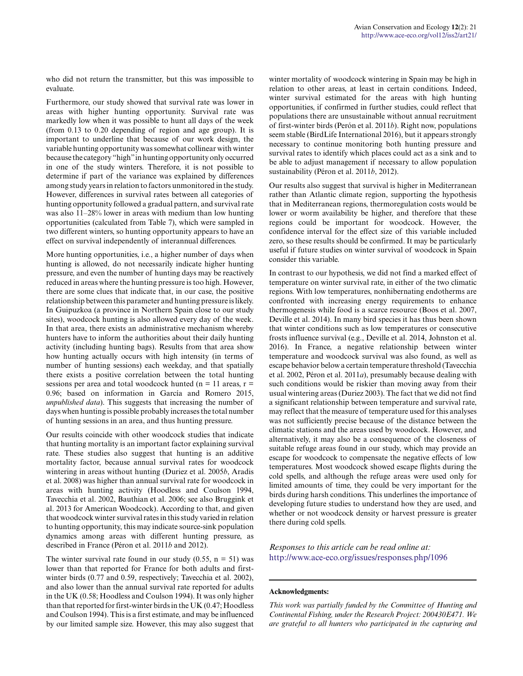who did not return the transmitter, but this was impossible to evaluate.

Furthermore, our study showed that survival rate was lower in areas with higher hunting opportunity. Survival rate was markedly low when it was possible to hunt all days of the week (from 0.13 to 0.20 depending of region and age group). It is important to underline that because of our work design, the variable hunting opportunity was somewhat collinear with winter because the category "high" in hunting opportunity only occurred in one of the study winters. Therefore, it is not possible to determine if part of the variance was explained by differences among study years in relation to factors unmonitored in the study. However, differences in survival rates between all categories of hunting opportunity followed a gradual pattern, and survival rate was also 11–28% lower in areas with medium than low hunting opportunities (calculated from Table 7), which were sampled in two different winters, so hunting opportunity appears to have an effect on survival independently of interannual differences.

More hunting opportunities, i.e., a higher number of days when hunting is allowed, do not necessarily indicate higher hunting pressure, and even the number of hunting days may be reactively reduced in areas where the hunting pressure is too high. However, there are some clues that indicate that, in our case, the positive relationship between this parameter and hunting pressure is likely. In Guipuzkoa (a province in Northern Spain close to our study sites), woodcock hunting is also allowed every day of the week. In that area, there exists an administrative mechanism whereby hunters have to inform the authorities about their daily hunting activity (including hunting bags). Results from that area show how hunting actually occurs with high intensity (in terms of number of hunting sessions) each weekday, and that spatially there exists a positive correlation between the total hunting sessions per area and total woodcock hunted ( $n = 11$  areas,  $r =$ 0.96; based on information in García and Romero 2015, *unpublished data*). This suggests that increasing the number of days when hunting is possible probably increases the total number of hunting sessions in an area, and thus hunting pressure.

Our results coincide with other woodcock studies that indicate that hunting mortality is an important factor explaining survival rate. These studies also suggest that hunting is an additive mortality factor, because annual survival rates for woodcock wintering in areas without hunting (Duriez et al. 2005*b*, Aradis et al. 2008) was higher than annual survival rate for woodcock in areas with hunting activity (Hoodless and Coulson 1994, Tavecchia et al. 2002, Bauthian et al. 2006; see also Bruggink et al. 2013 for American Woodcock). According to that, and given that woodcock winter survival rates in this study varied in relation to hunting opportunity, this may indicate source-sink population dynamics among areas with different hunting pressure, as described in France (Péron et al. 2011*b* and 2012).

The winter survival rate found in our study  $(0.55, n = 51)$  was lower than that reported for France for both adults and firstwinter birds (0.77 and 0.59, respectively; Tavecchia et al. 2002), and also lower than the annual survival rate reported for adults in the UK (0.58; Hoodless and Coulson 1994). It was only higher than that reported for first-winter birds in the UK (0.47; Hoodless and Coulson 1994). This is a first estimate, and may be influenced by our limited sample size. However, this may also suggest that

winter mortality of woodcock wintering in Spain may be high in relation to other areas, at least in certain conditions. Indeed, winter survival estimated for the areas with high hunting opportunities, if confirmed in further studies, could reflect that populations there are unsustainable without annual recruitment of first-winter birds (Perón et al. 2011*b*). Right now, populations seem stable (BirdLife International 2016), but it appears strongly necessary to continue monitoring both hunting pressure and survival rates to identify which places could act as a sink and to be able to adjust management if necessary to allow population sustainability (Péron et al. 2011*b*, 2012).

Our results also suggest that survival is higher in Mediterranean rather than Atlantic climate region, supporting the hypothesis that in Mediterranean regions, thermoregulation costs would be lower or worm availability be higher, and therefore that these regions could be important for woodcock. However, the confidence interval for the effect size of this variable included zero, so these results should be confirmed. It may be particularly useful if future studies on winter survival of woodcock in Spain consider this variable.

In contrast to our hypothesis, we did not find a marked effect of temperature on winter survival rate, in either of the two climatic regions. With low temperatures, nonhibernating endotherms are confronted with increasing energy requirements to enhance thermogenesis while food is a scarce resource (Boos et al. 2007, Deville et al. 2014). In many bird species it has thus been shown that winter conditions such as low temperatures or consecutive frosts influence survival (e.g., Deville et al. 2014, Johnston et al. 2016). In France, a negative relationship between winter temperature and woodcock survival was also found, as well as escape behavior below a certain temperature threshold (Tavecchia et al. 2002, Péron et al. 2011*a*), presumably because dealing with such conditions would be riskier than moving away from their usual wintering areas (Duriez 2003). The fact that we did not find a significant relationship between temperature and survival rate, may reflect that the measure of temperature used for this analyses was not sufficiently precise because of the distance between the climatic stations and the areas used by woodcock. However, and alternatively, it may also be a consequence of the closeness of suitable refuge areas found in our study, which may provide an escape for woodcock to compensate the negative effects of low temperatures. Most woodcock showed escape flights during the cold spells, and although the refuge areas were used only for limited amounts of time, they could be very important for the birds during harsh conditions. This underlines the importance of developing future studies to understand how they are used, and whether or not woodcock density or harvest pressure is greater there during cold spells.

*Responses to this article can be read online at:* <http://www.ace-eco.org/issues/responses.php/1096>

#### **Acknowledgments:**

*This work was partially funded by the Committee of Hunting and Continental Fishing, under the Research Project: 200430E471. We are grateful to all hunters who participated in the capturing and*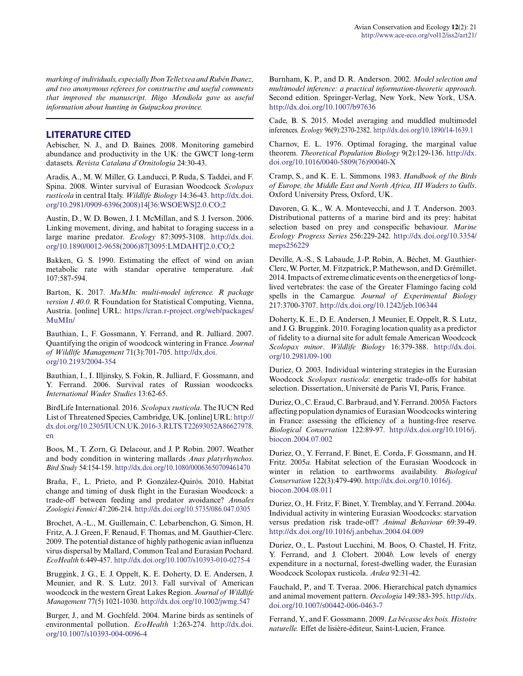*marking of individuals, especially Ibon Telletxea and Rubén Ibanez, and two anonymous referees for constructive and useful comments that improved the manuscript. Iñigo Mendiola gave us useful information about hunting in Guipuzkoa province.*

### **LITERATURE CITED**

Aebischer, N. J., and D. Baines. 2008. Monitoring gamebird abundance and productivity in the UK: the GWCT long-term datasets. *Revista Catalana d'Ornitologia* 24:30-43.

Aradis, A., M. W. Miller, G. Landucci, P. Ruda, S. Taddei, and F. Spina. 2008. Winter survival of Eurasian Woodcock *Scolopax rusticola* in central Italy. *Wildlife Biology* 14:36-43. [http://dx.doi.](http://dx.doi.org/10.2981%2F0909-6396%282008%2914%5B36%3AWSOEWS%5D2.0.CO%3B2) [org/10.2981/0909-6396\(2008\)14\[36:WSOEWS\]2.0.CO;2](http://dx.doi.org/10.2981%2F0909-6396%282008%2914%5B36%3AWSOEWS%5D2.0.CO%3B2)

Austin, D., W. D. Bowen, J. I. McMillan, and S. J. Iverson. 2006. Linking movement, diving, and habitat to foraging success in a large marine predator. *Ecology* 87:3095-3108. [http://dx.doi.](http://dx.doi.org/10.1890%2F0012-9658%282006%2987%5B3095%3ALMDAHT%5D2.0.CO%3B2) [org/10.1890/0012-9658\(2006\)87\[3095:LMDAHT\]2.0.CO;2](http://dx.doi.org/10.1890%2F0012-9658%282006%2987%5B3095%3ALMDAHT%5D2.0.CO%3B2) 

Bakken, G. S. 1990. Estimating the effect of wind on avian metabolic rate with standar operative temperature. *Auk* 107:587-594.

Barton, K. 2017. *MuMIn: multi-model inference. R package version 1.40.0.* R Foundation for Statistical Computing, Vienna, Austria. [online] URL: [https://cran.r-project.org/web/packages/](https://cran.r-project.org/web/packages/MuMIn/) [MuMIn/](https://cran.r-project.org/web/packages/MuMIn/) 

Bauthian, I., F. Gossmann, Y. Ferrand, and R. Julliard. 2007. Quantifying the origin of woodcock wintering in France. *Journal of Wildlife Management* 71(3):701-705. [http://dx.doi.](http://dx.doi.org/10.2193%2F2004-354) [org/10.2193/2004-354](http://dx.doi.org/10.2193%2F2004-354) 

Bauthian, I., I. Illjinsky, S. Fokin, R. Julliard, F. Gossmann, and Y. Ferrand. 2006. Survival rates of Russian woodcocks. *International Wader Studies* 13:62-65.

BirdLife International. 2016. *Scolopax rusticola*. The IUCN Red List of Threatened Species, Cambridge, UK. [online] URL: [http://](http://dx.doi.org/10.2305%2FIUCN.UK.2016-3.RLTS.T22693052A86627978.en) [dx.doi.org/10.2305/IUCN.UK.2016-3.RLTS.T22693052A86627978.](http://dx.doi.org/10.2305%2FIUCN.UK.2016-3.RLTS.T22693052A86627978.en) [en](http://dx.doi.org/10.2305%2FIUCN.UK.2016-3.RLTS.T22693052A86627978.en) 

Boos, M., T. Zorn, G. Delacour, and J. P. Robin. 2007. Weather and body condition in wintering mallards *Anas platyrhynchos*. *Bird Study* 54:154-159. [http://dx.doi.org/10.1080/00063650709461470](http://dx.doi.org/10.1080%2F00063650709461470) 

Braña, F., L. Prieto, and P. González-Quirós. 2010. Habitat change and timing of dusk flight in the Eurasian Woodcock: a trade-off between feeding and predator avoidance? *Annales Zoologici Fennici* 47:206-214. [http://dx.doi.org/10.5735/086.047.0305](http://dx.doi.org/10.5735%2F086.047.0305) 

Brochet, A.-L., M. Guillemain, C. Lebarbenchon, G. Simon, H. Fritz, A. J. Green, F. Renaud, F. Thomas, and M. Gauthier-Clerc. 2009. The potential distance of highly pathogenic avian influenza virus dispersal by Mallard, Common Teal and Eurasian Pochard. *EcoHealth* 6:449-457. [http://dx.doi.org/10.1007/s10393-010-0275-4](http://dx.doi.org/10.1007%2Fs10393-010-0275-4) 

Bruggink, J. G., E. J. Oppelt, K. E. Doherty, D. E. Andersen, J. Meunier, and R. S. Lutz. 2013. Fall survival of American woodcock in the western Great Lakes Region. *Journal of Wildlife Management* 77(5) 1021-1030. [http://dx.doi.org/10.1002/jwmg.547](http://dx.doi.org/10.1002%2Fjwmg.547) 

Burger, J., and M. Gochfeld. 2004. Marine birds as sentinels of environmental pollution. *EcoHealth* 1:263-274. [http://dx.doi.](http://dx.doi.org/10.1007%2Fs10393-004-0096-4) [org/10.1007/s10393-004-0096-4](http://dx.doi.org/10.1007%2Fs10393-004-0096-4)

Burnham, K. P., and D. R. Anderson. 2002. *Model selection and multimodel inference: a practical information-theoretic approach.* Second edition. Springer-Verlag, New York, New York, USA. [http://dx.doi.org/10.1007/b97636](http://dx.doi.org/10.1007%2Fb97636) 

Cade, B. S. 2015. Model averaging and muddled multimodel inferences. *Ecology* 96(9):2370-2382. [http://dx.doi.org/10.1890/14-1639.1](http://dx.doi.org/10.1890%2F14-1639.1)

Charnov, E. L. 1976. Optimal foraging, the marginal value theorem. *Theoretical Population Biology* 9(2):129-136. [http://dx.](http://dx.doi.org/10.1016%2F0040-5809%2876%2990040-X) [doi.org/10.1016/0040-5809\(76\)90040-X](http://dx.doi.org/10.1016%2F0040-5809%2876%2990040-X)

Cramp, S., and K. E. L. Simmons. 1983. *Handbook of the Birds of Europe, the Middle East and North Africa, III Waders to Gulls*. Oxford University Press, Oxford, UK.

Davoren, G. K., W. A. Montevecchi, and J. T. Anderson. 2003. Distributional patterns of a marine bird and its prey: habitat selection based on prey and conspecific behaviour. *Marine Ecology Progress Series* 256:229-242. [http://dx.doi.org/10.3354/](http://dx.doi.org/10.3354%2Fmeps256229) [meps256229](http://dx.doi.org/10.3354%2Fmeps256229) 

Deville, A.-S., S. Labaude, J.-P. Robin, A. Béchet, M. Gauthier-Clerc, W. Porter, M. Fitzpatrick, P. Mathewson, and D. Grémillet. 2014. Impacts of extreme climatic events on the energetics of longlived vertebrates: the case of the Greater Flamingo facing cold spells in the Camargue. *Journal of Experimental Biology* 217:3700-3707. [http://dx.doi.org/10.1242/jeb.106344](http://dx.doi.org/10.1242%2Fjeb.106344) 

Doherty, K. E., D. E. Andersen, J. Meunier, E. Oppelt, R. S. Lutz, and J. G. Bruggink. 2010. Foraging location quality as a predictor of fidelity to a diurnal site for adult female American Woodcock *Scolopax minor*. *Wildlife Biology* 16:379-388. [http://dx.doi.](http://dx.doi.org/10.2981%2F09-100) [org/10.2981/09-100](http://dx.doi.org/10.2981%2F09-100) 

Duriez, O. 2003. Individual wintering strategies in the Eurasian Woodcock *Scolopax rusticola*: energetic trade-offs for habitat selection. Dissertation,.Université de Paris VI, Paris, France.

Duriez, O., C. Eraud, C. Barbraud, and Y. Ferrand. 2005*b.* Factors affecting population dynamics of Eurasian Woodcocks wintering in France: assessing the efficiency of a hunting-free reserve. *Biological Conservation* 122:89-97. [http://dx.doi.org/10.1016/j.](http://dx.doi.org/10.1016%2Fj.biocon.2004.07.002) [biocon.2004.07.002](http://dx.doi.org/10.1016%2Fj.biocon.2004.07.002)

Duriez, O., Y. Ferrand, F. Binet, E. Corda, F. Gossmann, and H. Fritz. 2005*a.* Habitat selection of the Eurasian Woodcock in winter in relation to earthworms availability. *Biological Conservation* 122(3):479-490. [http://dx.doi.org/10.1016/j.](http://dx.doi.org/10.1016%2Fj.biocon.2004.08.011) [biocon.2004.08.011](http://dx.doi.org/10.1016%2Fj.biocon.2004.08.011)

Duriez, O., H. Fritz, F. Binet, Y. Tremblay, and Y. Ferrand. 2004*a.* Individual activity in wintering Eurasian Woodcocks: starvation versus predation risk trade-off? *Animal Behaviour* 69:39-49. [http://dx.doi.org/10.1016/j.anbehav.2004.04.009](http://dx.doi.org/10.1016%2Fj.anbehav.2004.04.009) 

Duriez, O., L. Pastout Lucchini, M. Boos, O. Chastel, H. Fritz, Y. Ferrand, and J. Clobert. 2004*b.* Low levels of energy expenditure in a nocturnal, forest-dwelling wader, the Eurasian Woodcock Scolopax rusticola. *Ardea* 92:31-42.

Fauchald, P., and T. Tveraa. 2006. Hierarchical patch dynamics and animal movement pattern. *Oecologia* 149:383-395. [http://dx.](http://dx.doi.org/10.1007%2Fs00442-006-0463-7) [doi.org/10.1007/s00442-006-0463-7](http://dx.doi.org/10.1007%2Fs00442-006-0463-7) 

Ferrand, Y., and F. Gossmann. 2009. *La bécasse des bois. Histoire naturelle.* Effet de lisière-éditeur, Saint-Lucien, France.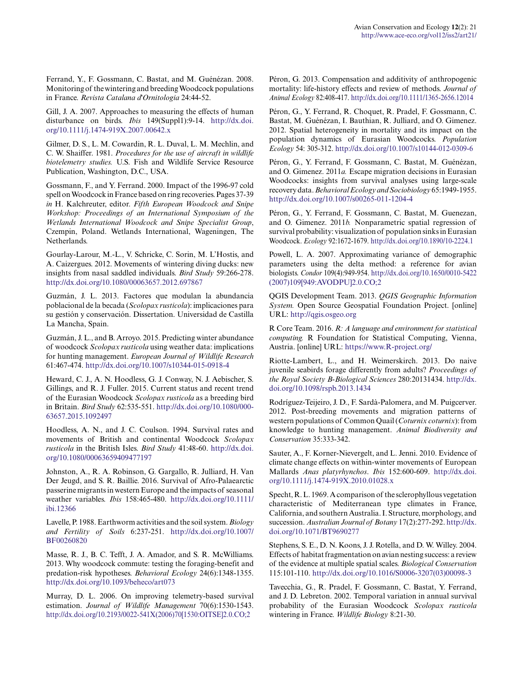Ferrand, Y., F. Gossmann, C. Bastat, and M. Guénézan. 2008. Monitoring of the wintering and breeding Woodcock populations in France. *Revista Catalana d'Ornitologia* 24:44-52.

Gill, J. A. 2007. Approaches to measuring the effects of human disturbance on birds. *Ibis* 149(Suppl1):9-14. [http://dx.doi.](http://dx.doi.org/10.1111%2Fj.1474-919X.2007.00642.x) [org/10.1111/j.1474-919X.2007.00642.x](http://dx.doi.org/10.1111%2Fj.1474-919X.2007.00642.x) 

Gilmer, D. S., L. M. Cowardin, R. L. Duval, L. M. Mechlin, and C. W. Shaiffer. 1981. *Procedures for the use of aircraft in wildlife biotelemetry studies.* U.S. Fish and Wildlife Service Resource Publication, Washington, D.C., USA.

Gossmann, F., and Y. Ferrand. 2000. Impact of the 1996-97 cold spell on Woodcock in France based on ring recoveries. Pages 37-39 *in* H. Kalchreuter, editor. *Fifth European Woodcock and Snipe Workshop: Proceedings of an International Symposium of the Wetlands International Woodcock and Snipe Specialist Group*, Czempin, Poland. Wetlands International, Wageningen, The Netherlands.

Gourlay-Larour, M.-L., V. Schricke, C. Sorin, M. L'Hostis, and A. Caizergues. 2012. Movements of wintering diving ducks: new insights from nasal saddled individuals. *Bird Study* 59:266-278. [http://dx.doi.org/10.1080/00063657.2012.697867](http://dx.doi.org/10.1080%2F00063657.2012.697867)

Guzmán, J. L. 2013. Factores que modulan la abundancia poblacional de la becada (*Scolopax rusticola*): implicaciones para su gestión y conservación. Dissertation. Universidad de Castilla La Mancha, Spain.

Guzmán, J. L., and B. Arroyo. 2015. Predicting winter abundance of woodcock *Scolopax rusticola* using weather data: implications for hunting management. *European Journal of Wildlife Research* 61:467-474. [http://dx.doi.org/10.1007/s10344-015-0918-4](http://dx.doi.org/10.1007%2Fs10344-015-0918-4)

Heward, C. J., A. N. Hoodless, G. J. Conway, N. J. Aebischer, S. Gillings, and R. J. Fuller. 2015. Current status and recent trend of the Eurasian Woodcock *Scolopax rusticola* as a breeding bird in Britain. *Bird Study* 62:535-551. [http://dx.doi.org/10.1080/000](http://dx.doi.org/10.1080%2F00063657.2015.1092497) [63657.2015.1092497](http://dx.doi.org/10.1080%2F00063657.2015.1092497) 

Hoodless, A. N., and J. C. Coulson. 1994. Survival rates and movements of British and continental Woodcock *Scolopax rusticola* in the British Isles. *Bird Study* 41:48-60. [http://dx.doi.](http://dx.doi.org/10.1080%2F00063659409477197) [org/10.1080/00063659409477197](http://dx.doi.org/10.1080%2F00063659409477197) 

Johnston, A., R. A. Robinson, G. Gargallo, R. Julliard, H. Van Der Jeugd, and S. R. Baillie. 2016. Survival of Afro-Palaearctic passerine migrants in western Europe and the impacts of seasonal weather variables. *Ibis* 158:465-480. [http://dx.doi.org/10.1111/](http://dx.doi.org/10.1111%2Fibi.12366) [ibi.12366](http://dx.doi.org/10.1111%2Fibi.12366) 

Lavelle, P. 1988. Earthworm activities and the soil system. *Biology and Fertility of Soils* 6:237-251. [http://dx.doi.org/10.1007/](http://dx.doi.org/10.1007%2FBF00260820) [BF00260820](http://dx.doi.org/10.1007%2FBF00260820)

Masse, R. J., B. C. Tefft, J. A. Amador, and S. R. McWilliams. 2013. Why woodcock commute: testing the foraging-benefit and predation-risk hypotheses. *Behavioral Ecology* 24(6):1348-1355. [http://dx.doi.org/10.1093/beheco/art073](http://dx.doi.org/10.1093%2Fbeheco%2Fart073)

Murray, D. L. 2006. On improving telemetry-based survival estimation. *Journal of Wildlife Management* 70(6):1530-1543. [http://dx.doi.org/10.2193/0022-541X\(2006\)70\[1530:OITSE\]2.0.CO;2](http://dx.doi.org/10.2193%2F0022-541X%282006%2970%5B1530%3AOITSE%5D2.0.CO%3B2) 

Péron, G. 2013. Compensation and additivity of anthropogenic mortality: life-history effects and review of methods. *Journal of Animal Ecology* 82:408-417. [http://dx.doi.org/10.1111/1365-2656.12014](http://dx.doi.org/10.1111%2F1365-2656.12014)

Péron, G., Y. Ferrand, R. Choquet, R. Pradel, F. Gossmann, C. Bastat, M. Guénézan, I. Bauthian, R. Julliard, and O. Gimenez. 2012. Spatial heterogeneity in mortality and its impact on the population dynamics of Eurasian Woodcocks. *Population Ecology* 54: 305-312. [http://dx.doi.org/10.1007/s10144-012-0309-6](http://dx.doi.org/10.1007%2Fs10144-012-0309-6) 

Péron, G., Y. Ferrand, F. Gossmann, C. Bastat, M. Guénézan, and O. Gimenez. 2011*a.* Escape migration decisions in Eurasian Woodcocks: insights from survival analyses using large-scale recovery data. *Behavioral Ecology and Sociobiology* 65:1949-1955. [http://dx.doi.org/10.1007/s00265-011-1204-4](http://dx.doi.org/10.1007%2Fs00265-011-1204-4)

Péron, G., Y. Ferrand, F. Gossmann, C. Bastat, M. Guenezan, and O. Gimenez. 2011*b.* Nonparametric spatial regression of survival probability: visualization of population sinks in Eurasian Woodcock. *Ecology* 92:1672-1679. [http://dx.doi.org/10.1890/10-2224.1](http://dx.doi.org/10.1890%2F10-2224.1) 

Powell, L. A. 2007. Approximating variance of demographic parameters using the delta method: a reference for avian biologists. *Condor* 109(4):949-954. [http://dx.doi.org/10.1650/0010-5422](http://dx.doi.org/10.1650%2F0010-5422%282007%29109%5B949%3AAVODPU%5D2.0.CO%3B2) [\(2007\)109\[949:AVODPU\]2.0.CO;2](http://dx.doi.org/10.1650%2F0010-5422%282007%29109%5B949%3AAVODPU%5D2.0.CO%3B2)

QGIS Development Team. 2013. *QGIS Geographic Information System.* Open Source Geospatial Foundation Project. [online] URL:<http://qgis.osgeo.org>

R Core Team. 2016. *R: A language and environment for statistical computing.* R Foundation for Statistical Computing, Vienna, Austria. [online] URL: <https://www.R-project.org/>

Riotte-Lambert, L., and H. Weimerskirch. 2013. Do naive juvenile seabirds forage differently from adults? *Proceedings of the Royal Society B-Biological Sciences* 280:20131434. [http://dx.](http://dx.doi.org/10.1098%2Frspb.2013.1434) [doi.org/10.1098/rspb.2013.1434](http://dx.doi.org/10.1098%2Frspb.2013.1434)

Rodríguez-Teijeiro, J. D., F. Sardà-Palomera, and M. Puigcerver. 2012. Post-breeding movements and migration patterns of western populations of Common Quail (*Coturnix coturnix*): from knowledge to hunting management. *Animal Biodiversity and Conservation* 35:333-342.

Sauter, A., F. Korner-Nievergelt, and L. Jenni. 2010. Evidence of climate change effects on within-winter movements of European Mallards *Anas platyrhynchos*. *Ibis* 152:600-609. [http://dx.doi.](http://dx.doi.org/10.1111%2Fj.1474-919X.2010.01028.x) [org/10.1111/j.1474-919X.2010.01028.x](http://dx.doi.org/10.1111%2Fj.1474-919X.2010.01028.x) 

Specht, R. L. 1969. A comparison of the sclerophyllous vegetation characteristic of Mediterranean type climates in France, California, and southern Australia. I. Structure, morphology, and succession. *Australian Journal of Botany* 17(2):277-292. [http://dx.](http://dx.doi.org/10.1071%2FBT9690277) [doi.org/10.1071/BT9690277](http://dx.doi.org/10.1071%2FBT9690277) 

Stephens, S. E., D. N. Koons, J. J. Rotella, and D. W. Willey. 2004. Effects of habitat fragmentation on avian nesting success: a review of the evidence at multiple spatial scales. *Biological Conservation* 115:101-110. [http://dx.doi.org/10.1016/S0006-3207\(03\)00098-3](http://dx.doi.org/10.1016%2FS0006-3207%2803%2900098-3) 

Tavecchia, G., R. Pradel, F. Gossmann, C. Bastat, Y. Ferrand, and J. D. Lebreton. 2002. Temporal variation in annual survival probability of the Eurasian Woodcock *Scolopax rusticola* wintering in France. *Wildlife Biology* 8:21-30.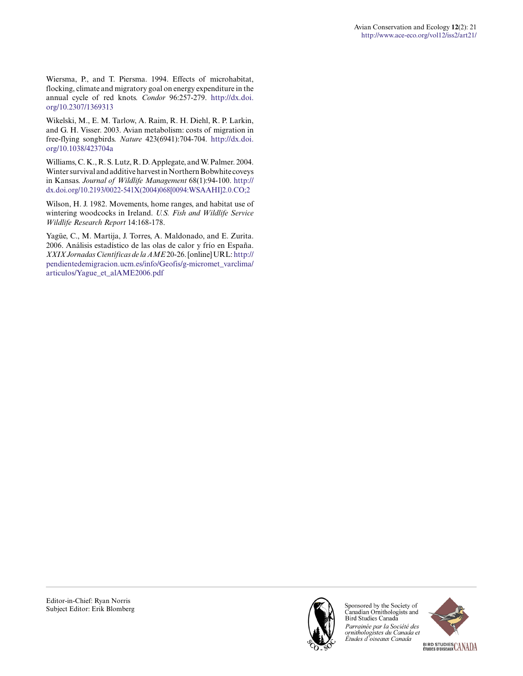Wiersma, P., and T. Piersma. 1994. Effects of microhabitat, flocking, climate and migratory goal on energy expenditure in the annual cycle of red knots. *Condor* 96:257-279. [http://dx.doi.](http://dx.doi.org/10.2307%2F1369313) [org/10.2307/1369313](http://dx.doi.org/10.2307%2F1369313) 

Wikelski, M., E. M. Tarlow, A. Raim, R. H. Diehl, R. P. Larkin, and G. H. Visser. 2003. Avian metabolism: costs of migration in free-flying songbirds. *Nature* 423(6941):704-704. [http://dx.doi.](http://dx.doi.org/10.1038%2F423704a) [org/10.1038/423704a](http://dx.doi.org/10.1038%2F423704a) 

Williams, C. K., R. S. Lutz, R. D. Applegate, and W. Palmer. 2004. Winter survival and additive harvest in Northern Bobwhite coveys in Kansas. *Journal of Wildlife Management* 68(1):94-100. [http://](http://dx.doi.org/10.2193%2F0022-541X%282004%29068%5B0094%3AWSAAHI%5D2.0.CO%3B2) [dx.doi.org/10.2193/0022-541X\(2004\)068\[0094:WSAAHI\]2.0.CO;2](http://dx.doi.org/10.2193%2F0022-541X%282004%29068%5B0094%3AWSAAHI%5D2.0.CO%3B2) 

Wilson, H. J. 1982. Movements, home ranges, and habitat use of wintering woodcocks in Ireland. *U.S. Fish and Wildlife Service Wildlife Research Report* 14:168-178.

Yagüe, C., M. Martija, J. Torres, A. Maldonado, and E. Zurita. 2006. Análisis estadístico de las olas de calor y frío en España. *XXIX Jornadas Científicas de la AME* 20-26. [online] URL: [http://](http://pendientedemigracion.ucm.es/info/Geofis/g-micromet_varclima/articulos/Yague_et_alAME2006.pdf) [pendientedemigracion.ucm.es/info/Geofis/g-micromet\\_varclima/](http://pendientedemigracion.ucm.es/info/Geofis/g-micromet_varclima/articulos/Yague_et_alAME2006.pdf) [articulos/Yague\\_et\\_alAME2006.pdf](http://pendientedemigracion.ucm.es/info/Geofis/g-micromet_varclima/articulos/Yague_et_alAME2006.pdf)



Sponsored by the Society of Canadian Ornithologists and Bird Studies Canada Parrainée par la Société des ornithologistes du Canada et<br>Études d`oiseaux Canada



BIRD STUDIES CANADA